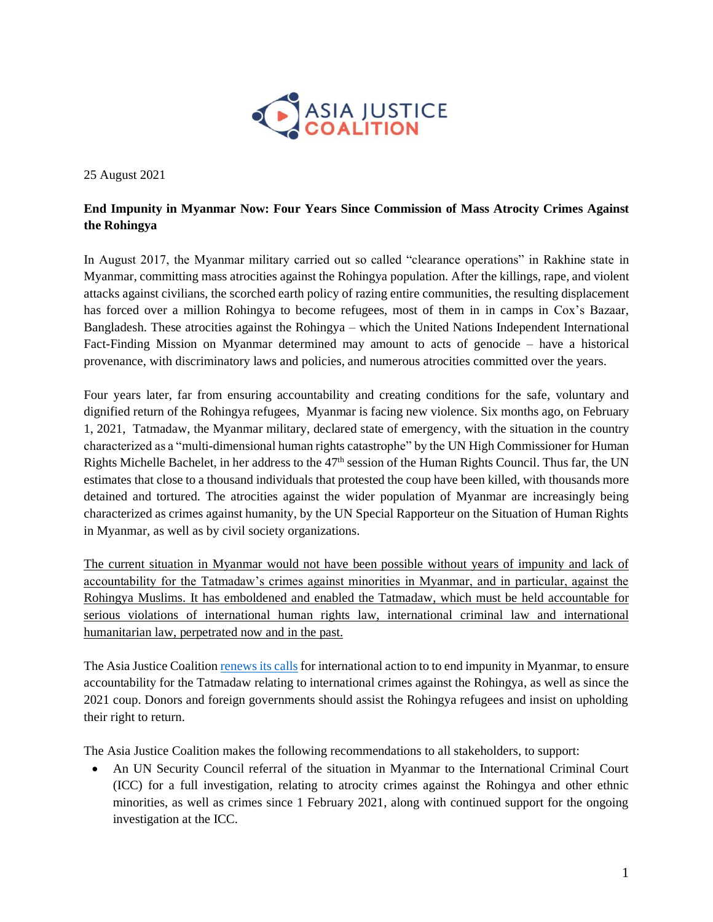

25 August 2021

## **End Impunity in Myanmar Now: Four Years Since Commission of Mass Atrocity Crimes Against the Rohingya**

In August 2017, the Myanmar military carried out so called "clearance operations" in Rakhine state in Myanmar, committing mass atrocities against the Rohingya population. After the killings, rape, and violent attacks against civilians, the scorched earth policy of razing entire communities, the resulting displacement has forced over a million Rohingya to become refugees, most of them in in camps in Cox's Bazaar, Bangladesh. These atrocities against the Rohingya – which the United Nations Independent International Fact-Finding Mission on Myanmar determined may amount to acts of genocide – have a historical provenance, with discriminatory laws and policies, and numerous atrocities committed over the years.

Four years later, far from ensuring accountability and creating conditions for the safe, voluntary and dignified return of the Rohingya refugees, Myanmar is facing new violence. Six months ago, on February 1, 2021, Tatmadaw, the Myanmar military, declared state of emergency, with the situation in the country characterized as a "multi-dimensional human rights catastrophe" by the UN High Commissioner for Human Rights Michelle Bachelet, in her address to the  $47<sup>th</sup>$  session of the Human Rights Council. Thus far, the UN estimates that close to a thousand individuals that protested the coup have been killed, with thousands more detained and tortured. The atrocities against the wider population of Myanmar are increasingly being characterized as crimes against humanity, by the UN Special Rapporteur on the Situation of Human Rights in Myanmar, as well as by civil society organizations.

The current situation in Myanmar would not have been possible without years of impunity and lack of accountability for the Tatmadaw's crimes against minorities in Myanmar, and in particular, against the Rohingya Muslims. It has emboldened and enabled the Tatmadaw, which must be held accountable for serious violations of international human rights law, international criminal law and international humanitarian law, perpetrated now and in the past.

The Asia Justice Coalitio[n renews its calls](https://2c13781c-c65e-48b5-ac86-efc598a2bd62.filesusr.com/ugd/811bc6_66ad3e8a8a21458f9d847580696f7396.pdf) for international action to to end impunity in Myanmar, to ensure accountability for the Tatmadaw relating to international crimes against the Rohingya, as well as since the 2021 coup. Donors and foreign governments should assist the Rohingya refugees and insist on upholding their right to return.

The Asia Justice Coalition makes the following recommendations to all stakeholders, to support:

• An UN Security Council referral of the situation in Myanmar to the International Criminal Court (ICC) for a full investigation, relating to atrocity crimes against the Rohingya and other ethnic minorities, as well as crimes since 1 February 2021, along with continued support for the ongoing investigation at the ICC.